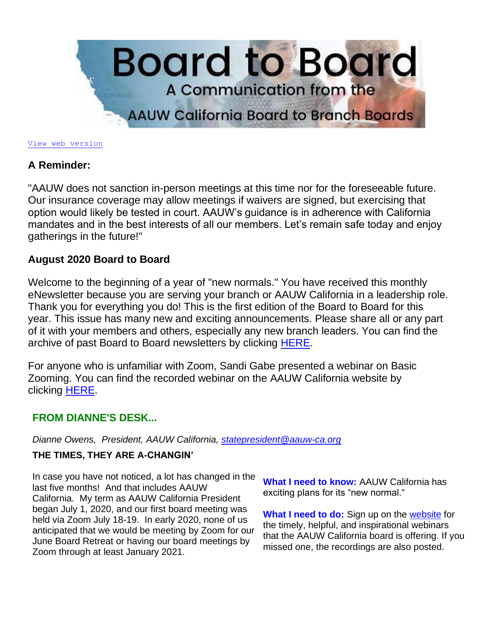

#### [View web version](https://bor.aauw-ca.org/sendy/w/kO8RnwV28zKlKkmfH763NRAA)

### **A Reminder:**

"AAUW does not sanction in-person meetings at this time nor for the foreseeable future. Our insurance coverage may allow meetings if waivers are signed, but exercising that option would likely be tested in court. AAUW's guidance is in adherence with California mandates and in the best interests of all our members. Let's remain safe today and enjoy gatherings in the future!"

### **August 2020 Board to Board**

Welcome to the beginning of a year of "new normals." You have received this monthly eNewsletter because you are serving your branch or AAUW California in a leadership role. Thank you for everything you do! This is the first edition of the Board to Board for this year. This issue has many new and exciting announcements. Please share all or any part of it with your members and others, especially any new branch leaders. You can find the archive of past Board to Board newsletters by clicking [HERE.](https://www.aauw-ca.org/board-to-board/)

For anyone who is unfamiliar with Zoom, Sandi Gabe presented a webinar on Basic Zooming. You can find the recorded webinar on the AAUW California website by clicking [HERE.](https://www.aauw-ca.org/basic-zooming/)

### **FROM DIANNE'S DESK...**

*Dianne Owens, President, AAUW California, [statepresident@aauw-ca.org](mailto:statepresident@aauw-ca.org)*

### **THE TIMES, THEY ARE A-CHANGIN'**

In case you have not noticed, a lot has changed in the last five months! And that includes AAUW California. My term as AAUW California President began July 1, 2020, and our first board meeting was held via Zoom July 18-19. In early 2020, none of us anticipated that we would be meeting by Zoom for our June Board Retreat or having our board meetings by Zoom through at least January 2021.

**What I need to know:** AAUW California has exciting plans for its "new normal."

**What I need to do:** Sign up on the [website](https://www.aauw-ca.org/2020-2021-webinars/) for the timely, helpful, and inspirational webinars that the AAUW California board is offering. If you missed one, the recordings are also posted.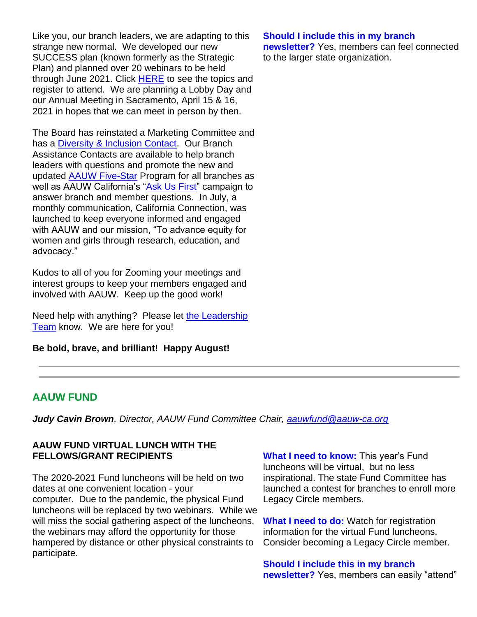Like you, our branch leaders, we are adapting to this strange new normal. We developed our new SUCCESS plan (known formerly as the Strategic Plan) and planned over 20 webinars to be held through June 2021. Click [HERE](https://www.aauw-ca.org/2020-2021-webinars/) to see the topics and register to attend. We are planning a Lobby Day and our Annual Meeting in Sacramento, April 15 & 16, 2021 in hopes that we can meet in person by then.

The Board has reinstated a Marketing Committee and has a [Diversity & Inclusion Contact.](mailto:diversity@aauw-ca.org) Our Branch Assistance Contacts are available to help branch leaders with questions and promote the new and updated [AAUW Five-Star](https://www.aauw.org/resources/member/initiatives/5-star-program/) Program for all branches as well as AAUW California's ["Ask Us First"](mailto:askusfirst@aauw-ca.org) campaign to answer branch and member questions. In July, a monthly communication, California Connection, was launched to keep everyone informed and engaged with AAUW and our mission, "To advance equity for women and girls through research, education, and advocacy."

Kudos to all of you for Zooming your meetings and interest groups to keep your members engaged and involved with AAUW. Keep up the good work!

Need help with anything? Please let the Leadership [Team](https://www.aauw-ca.org/about-us-2/) know. We are here for you!

**Be bold, brave, and brilliant! Happy August!**

### **Should I include this in my branch**

**newsletter?** Yes, members can feel connected to the larger state organization.

# **AAUW FUND**

*Judy Cavin Brown, Director, AAUW Fund Committee Chair, [aauwfund@aauw-ca.org](mailto:aauwfund@aauw-ca.org)*

### **AAUW FUND VIRTUAL LUNCH WITH THE FELLOWS/GRANT RECIPIENTS**

The 2020-2021 Fund luncheons will be held on two dates at one convenient location - your computer. Due to the pandemic, the physical Fund luncheons will be replaced by two webinars. While we will miss the social gathering aspect of the luncheons, the webinars may afford the opportunity for those hampered by distance or other physical constraints to participate.

**What I need to know:** This year's Fund luncheons will be virtual, but no less inspirational. The state Fund Committee has launched a contest for branches to enroll more Legacy Circle members.

**What I need to do:** Watch for registration information for the virtual Fund luncheons. Consider becoming a Legacy Circle member.

**Should I include this in my branch newsletter?** Yes, members can easily "attend"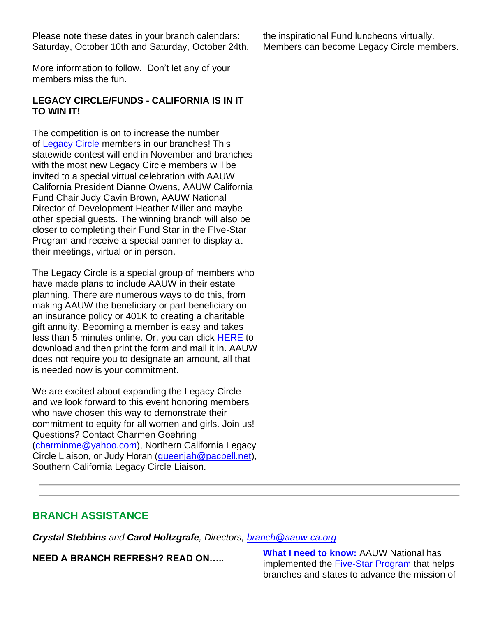Please note these dates in your branch calendars: Saturday, October 10th and Saturday, October 24th.

More information to follow. Don't let any of your members miss the fun.

### **LEGACY CIRCLE/FUNDS - CALIFORNIA IS IN IT TO WIN IT!**

The competition is on to increase the number of [Legacy Circle](https://www.aauw.org/resources/member/support-aauw/leave-a-legacy/) members in our branches! This statewide contest will end in November and branches with the most new Legacy Circle members will be invited to a special virtual celebration with AAUW California President Dianne Owens, AAUW California Fund Chair Judy Cavin Brown, AAUW National Director of Development Heather Miller and maybe other special guests. The winning branch will also be closer to completing their Fund Star in the FIve-Star Program and receive a special banner to display at their meetings, virtual or in person.

The Legacy Circle is a special group of members who have made plans to include AAUW in their estate planning. There are numerous ways to do this, from making AAUW the beneficiary or part beneficiary on an insurance policy or 401K to creating a charitable gift annuity. Becoming a member is easy and takes less than 5 minutes online. Or, you can click **[HERE](https://www.aauw.org/resources/member/support-aauw/leave-a-legacy/)** to download and then print the form and mail it in. AAUW does not require you to designate an amount, all that is needed now is your commitment.

We are excited about expanding the Legacy Circle and we look forward to this event honoring members who have chosen this way to demonstrate their commitment to equity for all women and girls. Join us! Questions? Contact Charmen Goehring [\(charminme@yahoo.com\)](mailto:charminme@yahoo.com), Northern California Legacy Circle Liaison, or Judy Horan [\(queenjah@pacbell.net\)](mailto:queenjah@pacbell.net), Southern California Legacy Circle Liaison.

# **BRANCH ASSISTANCE**

*Crystal Stebbins and Carol Holtzgrafe, Directors, [branch@aauw-ca.org](mailto:branch@aauw-ca.org)*

**NEED A BRANCH REFRESH? READ ON….. What I need to know:** AAUW National has implemented the [Five-Star Program](https://www.aauw.org/resources/member/initiatives/5-star-program/) that helps branches and states to advance the mission of

the inspirational Fund luncheons virtually. Members can become Legacy Circle members.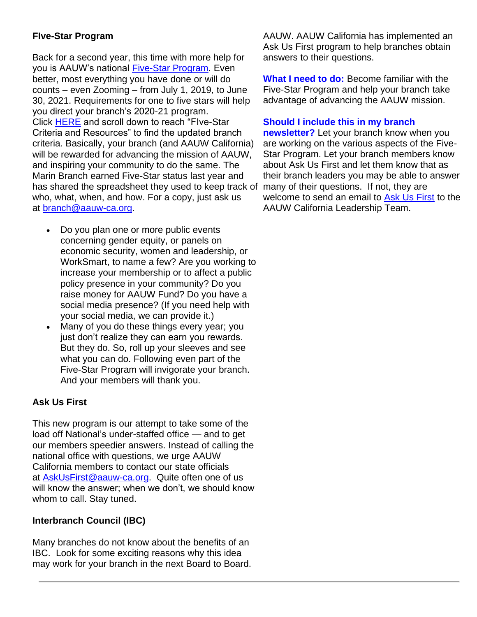### **FIve-Star Program**

Back for a second year, this time with more help for you is AAUW's national [Five-Star Program.](https://www.aauw.org/resources/member/initiatives/5-star-program/) Even better, most everything you have done or will do counts – even Zooming – from July 1, 2019, to June 30, 2021. Requirements for one to five stars will help you direct your branch's 2020-21 program. Click [HERE](https://www.aauw.org/resources/member/initiatives/5-star-program/) and scroll down to reach "FIve-Star Criteria and Resources" to find the updated branch criteria. Basically, your branch (and AAUW California) will be rewarded for advancing the mission of AAUW, and inspiring your community to do the same. The Marin Branch earned Five-Star status last year and has shared the spreadsheet they used to keep track of many of their questions. If not, they are who, what, when, and how. For a copy, just ask us at [branch@aauw-ca.org.](mailto:branch@aauw-ca.org)

- Do you plan one or more public events concerning gender equity, or panels on economic security, women and leadership, or WorkSmart, to name a few? Are you working to increase your membership or to affect a public policy presence in your community? Do you raise money for AAUW Fund? Do you have a social media presence? (If you need help with your social media, we can provide it.)
- Many of you do these things every year; you just don't realize they can earn you rewards. But they do. So, roll up your sleeves and see what you can do. Following even part of the Five-Star Program will invigorate your branch. And your members will thank you.

### **Ask Us First**

This new program is our attempt to take some of the load off National's under-staffed office — and to get our members speedier answers. Instead of calling the national office with questions, we urge AAUW California members to contact our state officials at [AskUsFirst@aauw-ca.org.](mailto:AskUsFirst@aauw-ca.org) Quite often one of us will know the answer; when we don't, we should know whom to call. Stay tuned.

### **Interbranch Council (IBC)**

Many branches do not know about the benefits of an IBC. Look for some exciting reasons why this idea may work for your branch in the next Board to Board. AAUW. AAUW California has implemented an Ask Us First program to help branches obtain answers to their questions.

**What I need to do:** Become familiar with the Five-Star Program and help your branch take advantage of advancing the AAUW mission.

### **Should I include this in my branch**

**newsletter?** Let your branch know when you are working on the various aspects of the Five-Star Program. Let your branch members know about Ask Us First and let them know that as their branch leaders you may be able to answer welcome to send an email to [Ask Us First](mailto:AskUsFirst@aauw-ca.org) to the AAUW California Leadership Team.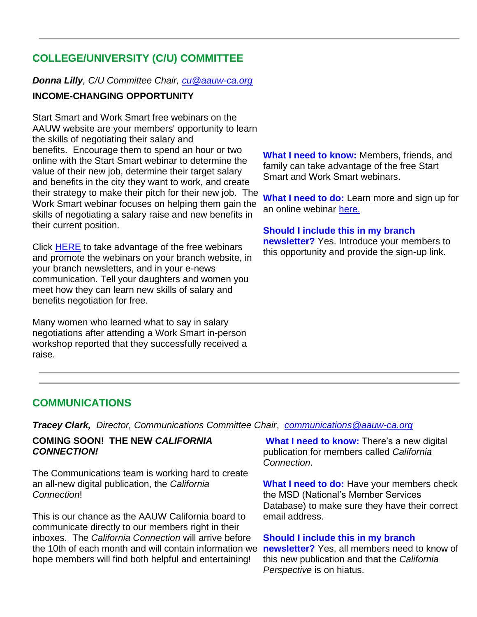# **COLLEGE/UNIVERSITY (C/U) COMMITTEE**

### *Donna Lilly, C/U Committee Chair, [cu@aauw-ca.org](mailto:cu@aauw-ca.org)*

### **INCOME-CHANGING OPPORTUNITY**

Start Smart and Work Smart free webinars on the AAUW website are your members' opportunity to learn the skills of negotiating their salary and benefits. Encourage them to spend an hour or two online with the Start Smart webinar to determine the value of their new job, determine their target salary and benefits in the city they want to work, and create their strategy to make their pitch for their new job. The Work Smart webinar focuses on helping them gain the skills of negotiating a salary raise and new benefits in their current position.

Click [HERE](https://www.aauw.org/resources/career/boost-your-career/) to take advantage of the free webinars and promote the webinars on your branch website, in your branch newsletters, and in your e-news communication. Tell your daughters and women you meet how they can learn new skills of salary and benefits negotiation for free.

Many women who learned what to say in salary negotiations after attending a Work Smart in-person workshop reported that they successfully received a raise.

**What I need to know:** Members, friends, and family can take advantage of the free Start Smart and Work Smart webinars.

**What I need to do:** Learn more and sign up for an online webinar [here.](https://www.aauw.org/resources/programs/salary/)

#### **Should I include this in my branch**

**newsletter?** Yes. Introduce your members to this opportunity and provide the sign-up link.

### **COMMUNICATIONS**

*Tracey Clark, Director, Communications Committee Chair*, *[communications@aauw-ca.org](mailto:Communications@aauw-ca.org)*

### **COMING SOON! THE NEW** *CALIFORNIA CONNECTION!*

The Communications team is working hard to create an all-new digital publication, the *California Connection*!

This is our chance as the AAUW California board to communicate directly to our members right in their inboxes. The *California Connection* will arrive before the 10th of each month and will contain information we hope members will find both helpful and entertaining!

**What I need to know:** There's a new digital publication for members called *California Connection*.

**What I need to do:** Have your members check the MSD (National's Member Services Database) to make sure they have their correct email address.

#### **Should I include this in my branch**

**newsletter?** Yes, all members need to know of this new publication and that the *California Perspective* is on hiatus.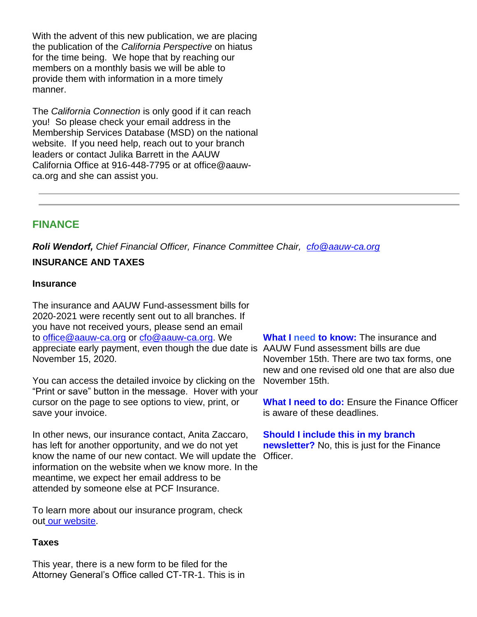With the advent of this new publication, we are placing the publication of the *California Perspective* on hiatus for the time being. We hope that by reaching our members on a monthly basis we will be able to provide them with information in a more timely manner.

The *California Connection* is only good if it can reach you! So please check your email address in the Membership Services Database (MSD) on the national website. If you need help, reach out to your branch leaders or contact Julika Barrett in the AAUW California Office at 916-448-7795 or at office@aauwca.org and she can assist you.

### **FINANCE**

*Roli Wendorf, Chief Financial Officer, Finance Committee Chair, [cfo@aauw-ca.org](mailto:cfo@aauw-ca.org)* **INSURANCE AND TAXES**

#### **Insurance**

The insurance and AAUW Fund-assessment bills for 2020-2021 were recently sent out to all branches. If you have not received yours, please send an email to [office@aauw-ca.org](mailto:office@aauw-ca.org) or [cfo@aauw-ca.org.](mailto:cfo@aauw-ca.org) We appreciate early payment, even though the due date is AAUW Fund assessment bills are due November 15, 2020.

You can access the detailed invoice by clicking on the "Print or save" button in the message. Hover with your cursor on the page to see options to view, print, or save your invoice.

In other news, our insurance contact, Anita Zaccaro, has left for another opportunity, and we do not yet know the name of our new contact. We will update the Officer.information on the website when we know more. In the meantime, we expect her email address to be attended by someone else at PCF Insurance.

To learn more about our insurance program, check out [our website.](http://www.aauw-ca.org/branch-treasurer-resources/)

### **Taxes**

This year, there is a new form to be filed for the Attorney General's Office called CT-TR-1. This is in

**What I need to know:** The insurance and November 15th. There are two tax forms, one new and one revised old one that are also due November 15th.

**What I need to do:** Ensure the Finance Officer is aware of these deadlines.

# **Should I include this in my branch newsletter?** No, this is just for the Finance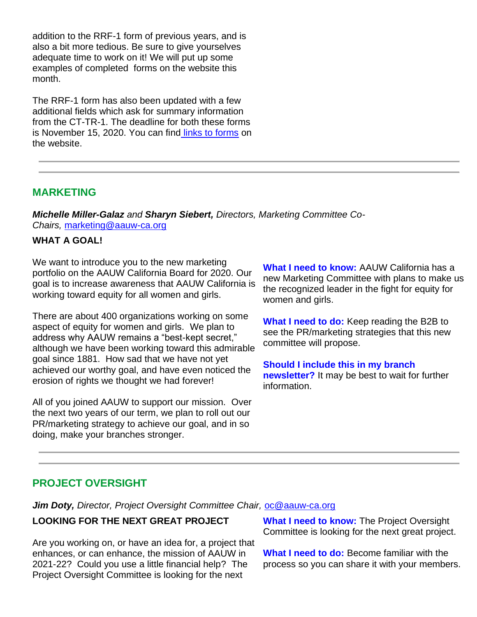addition to the RRF-1 form of previous years, and is also a bit more tedious. Be sure to give yourselves adequate time to work on it! We will put up some examples of completed forms on the website this month.

The RRF-1 form has also been updated with a few additional fields which ask for summary information from the CT-TR-1. The deadline for both these forms is November 15, 2020. You can find [links to forms](https://www.aauw-ca.org/financial-documents-deadlines/) on the website.

### **MARKETING**

*Michelle Miller-Galaz and Sharyn Siebert, Directors, Marketing Committee Co-Chairs,* [marketing@aauw-ca.org](mailto:marketing@aauw-ca.org)

### **WHAT A GOAL!**

We want to introduce you to the new marketing portfolio on the AAUW California Board for 2020. Our goal is to increase awareness that AAUW California is working toward equity for all women and girls.

There are about 400 organizations working on some aspect of equity for women and girls. We plan to address why AAUW remains a "best-kept secret," although we have been working toward this admirable goal since 1881. How sad that we have not yet achieved our worthy goal, and have even noticed the erosion of rights we thought we had forever!

All of you joined AAUW to support our mission. Over the next two years of our term, we plan to roll out our PR/marketing strategy to achieve our goal, and in so doing, make your branches stronger.

**What I need to know:** AAUW California has a new Marketing Committee with plans to make us the recognized leader in the fight for equity for women and girls.

**What I need to do:** Keep reading the B2B to see the PR/marketing strategies that this new committee will propose.

**Should I include this in my branch newsletter?** It may be best to wait for further information.

# **PROJECT OVERSIGHT**

*Jim Doty, Director, Project Oversight Committee Chair,* [oc@aauw-ca.org](mailto:oc@aauw-ca.org)

### **LOOKING FOR THE NEXT GREAT PROJECT**

Are you working on, or have an idea for, a project that enhances, or can enhance, the mission of AAUW in 2021-22? Could you use a little financial help? The Project Oversight Committee is looking for the next

**What I need to know:** The Project Oversight Committee is looking for the next great project.

**What I need to do:** Become familiar with the process so you can share it with your members.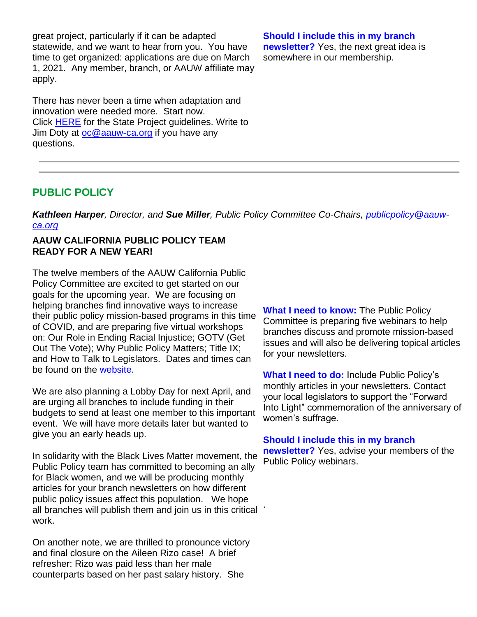great project, particularly if it can be adapted statewide, and we want to hear from you. You have time to get organized: applications are due on March 1, 2021. Any member, branch, or AAUW affiliate may apply.

There has never been a time when adaptation and innovation were needed more. Start now. Click [HERE](https://www.aauw-ca.org/state-project-grant/) for the State Project guidelines. Write to Jim Doty at <u>[oc@aauw-ca.org](mailto:oc@aauw-ca.org)</u> if you have any questions.

#### **Should I include this in my branch newsletter?** Yes, the next great idea is somewhere in our membership.

### **PUBLIC POLICY**

*Kathleen Harper, Director, and Sue Miller, Public Policy Committee Co-Chairs, [publicpolicy@aauw](mailto:PublicPolicy@aauw-ca.org)[ca.org](mailto:PublicPolicy@aauw-ca.org)*

### **AAUW CALIFORNIA PUBLIC POLICY TEAM READY FOR A NEW YEAR!**

The twelve members of the AAUW California Public Policy Committee are excited to get started on our goals for the upcoming year. We are focusing on helping branches find innovative ways to increase their public policy mission-based programs in this time of COVID, and are preparing five virtual workshops on: Our Role in Ending Racial Injustice; GOTV (Get Out The Vote); Why Public Policy Matters; Title IX; and How to Talk to Legislators. Dates and times can be found on the [website.](https://www.aauw-ca.org/2020-2021-webinars/)

We are also planning a Lobby Day for next April, and are urging all branches to include funding in their budgets to send at least one member to this important event. We will have more details later but wanted to give you an early heads up.

In solidarity with the Black Lives Matter movement, the Public Policy team has committed to becoming an ally for Black women, and we will be producing monthly articles for your branch newsletters on how different public policy issues affect this population. We hope all branches will publish them and join us in this critical work. .

On another note, we are thrilled to pronounce victory and final closure on the Aileen Rizo case! A brief refresher: Rizo was paid less than her male counterparts based on her past salary history. She

**What I need to know:** The Public Policy Committee is preparing five webinars to help branches discuss and promote mission-based issues and will also be delivering topical articles for your newsletters.

**What I need to do:** Include Public Policy's monthly articles in your newsletters. Contact your local legislators to support the "Forward Into Light" commemoration of the anniversary of women's suffrage.

#### **Should I include this in my branch**

**newsletter?** Yes, advise your members of the Public Policy webinars.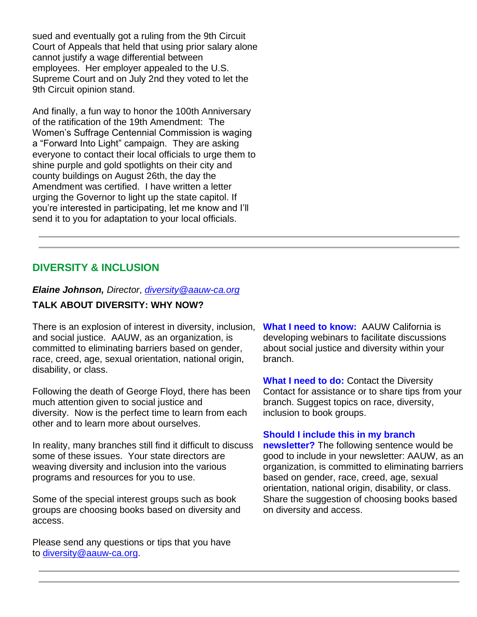sued and eventually got a ruling from the 9th Circuit Court of Appeals that held that using prior salary alone cannot justify a wage differential between employees. Her employer appealed to the U.S. Supreme Court and on July 2nd they voted to let the 9th Circuit opinion stand.

And finally, a fun way to honor the 100th Anniversary of the ratification of the 19th Amendment: The Women's Suffrage Centennial Commission is waging a "Forward Into Light" campaign. They are asking everyone to contact their local officials to urge them to shine purple and gold spotlights on their city and county buildings on August 26th, the day the Amendment was certified. I have written a letter urging the Governor to light up the state capitol. If you're interested in participating, let me know and I'll send it to you for adaptation to your local officials.

## **DIVERSITY & INCLUSION**

### *Elaine Johnson, Director*, *[diversity@aauw-ca.org](mailto:diversity@aauw-ca.org)*

### **TALK ABOUT DIVERSITY: WHY NOW?**

There is an explosion of interest in diversity, inclusion, and social justice. AAUW, as an organization, is committed to eliminating barriers based on gender, race, creed, age, sexual orientation, national origin, disability, or class.

Following the death of George Floyd, there has been much attention given to social justice and diversity. Now is the perfect time to learn from each other and to learn more about ourselves.

In reality, many branches still find it difficult to discuss some of these issues. Your state directors are weaving diversity and inclusion into the various programs and resources for you to use.

Some of the special interest groups such as book groups are choosing books based on diversity and access.

Please send any questions or tips that you have to [diversity@aauw-ca.org.](mailto:diversity@aauw-ca.org)

**What I need to know:** AAUW California is developing webinars to facilitate discussions about social justice and diversity within your branch.

**What I need to do:** Contact the Diversity Contact for assistance or to share tips from your branch. Suggest topics on race, diversity, inclusion to book groups.

#### **Should I include this in my branch**

**newsletter?** The following sentence would be good to include in your newsletter: AAUW, as an organization, is committed to eliminating barriers based on gender, race, creed, age, sexual orientation, national origin, disability, or class. Share the suggestion of choosing books based on diversity and access.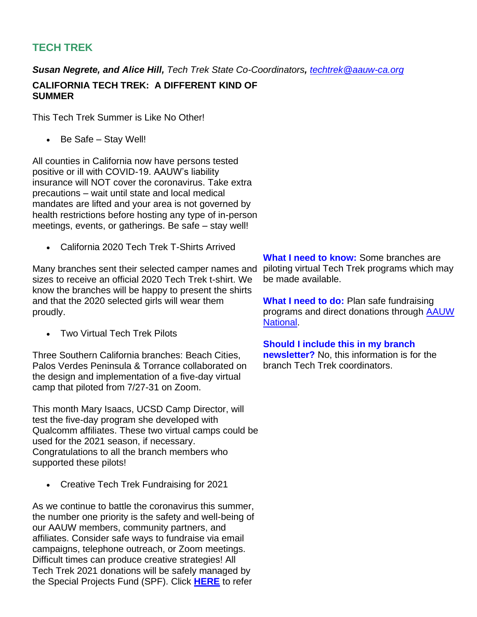# **TECH TREK**

*Susan Negrete, and Alice Hill, Tech Trek State Co-Coordinators, [techtrek@aauw-ca.org](mailto:techtrek@aauw-ca.org)*

**CALIFORNIA TECH TREK: A DIFFERENT KIND OF SUMMER**

This Tech Trek Summer is Like No Other!

• Be Safe – Stay Well!

All counties in California now have persons tested positive or ill with COVID-19. AAUW's liability insurance will NOT cover the coronavirus. Take extra precautions – wait until state and local medical mandates are lifted and your area is not governed by health restrictions before hosting any type of in-person meetings, events, or gatherings. Be safe – stay well!

• California 2020 Tech Trek T-Shirts Arrived

Many branches sent their selected camper names and sizes to receive an official 2020 Tech Trek t-shirt. We know the branches will be happy to present the shirts and that the 2020 selected girls will wear them proudly.

• Two Virtual Tech Trek Pilots

Three Southern California branches: Beach Cities, Palos Verdes Peninsula & Torrance collaborated on the design and implementation of a five-day virtual camp that piloted from 7/27-31 on Zoom.

This month Mary Isaacs, UCSD Camp Director, will test the five-day program she developed with Qualcomm affiliates. These two virtual camps could be used for the 2021 season, if necessary. Congratulations to all the branch members who supported these pilots!

• Creative Tech Trek Fundraising for 2021

As we continue to battle the coronavirus this summer, the number one priority is the safety and well-being of our AAUW members, community partners, and affiliates. Consider safe ways to fundraise via email campaigns, telephone outreach, or Zoom meetings. Difficult times can produce creative strategies! All Tech Trek 2021 donations will be safely managed by the Special Projects Fund (SPF). Click **[HERE](https://www.aauw-ca.org/category/aauw-ca-projects/tech-trek-external/)** to refer

**What I need to know:** Some branches are piloting virtual Tech Trek programs which may be made available.

**What I need to do:** Plan safe fundraising programs and direct donations through [AAUW](https://ww2.aauw.org/donate-gift-new/?treatment=TECHTREK)  [National.](https://ww2.aauw.org/donate-gift-new/?treatment=TECHTREK)

**Should I include this in my branch newsletter?** No, this information is for the branch Tech Trek coordinators.